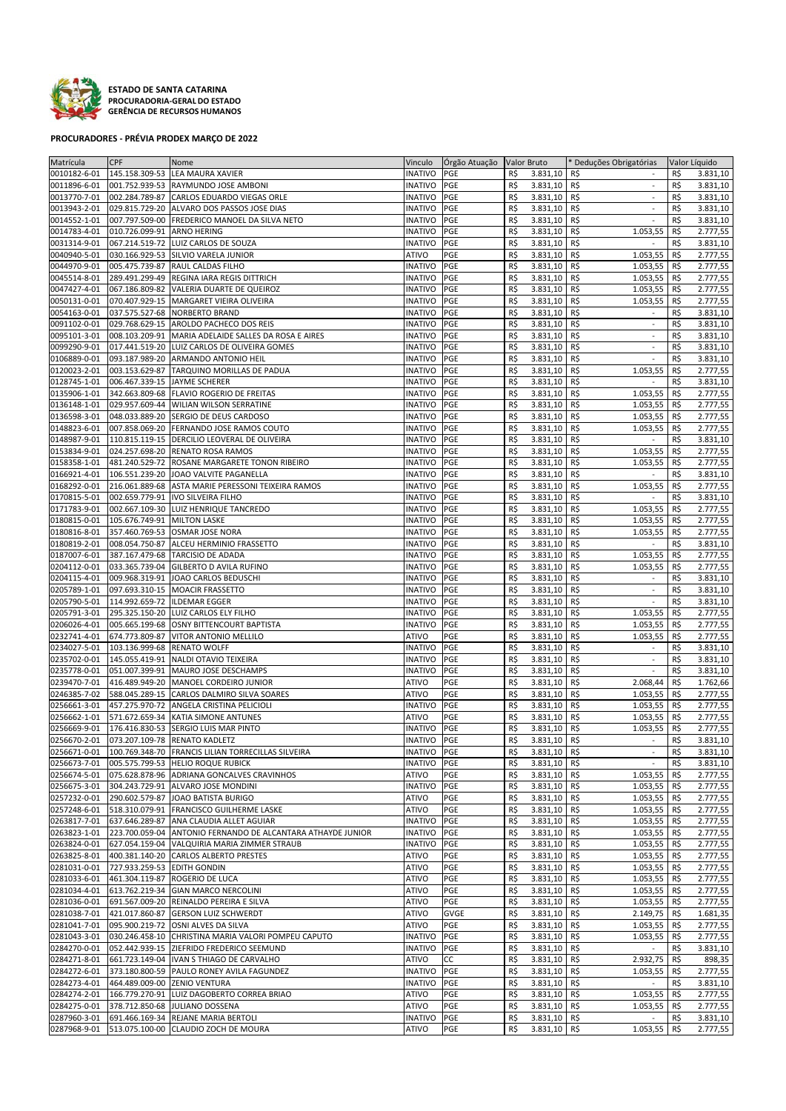

**ESTADO DE SANTA CATARINA PROCURADORIA‐GERAL DO ESTADO GERÊNCIA DE RECURSOS HUMANOS**

## **PROCURADORES ‐ PRÉVIA PRODEX MARÇO DE 2022**

| Matrícula    | CPF                          | Nome                                                            | Vinculo        | Orgão Atuação   Valor Bruto |     |              | * Deduções Obrigatórias         |     | Valor Líquido |
|--------------|------------------------------|-----------------------------------------------------------------|----------------|-----------------------------|-----|--------------|---------------------------------|-----|---------------|
| 0010182-6-01 |                              | 145.158.309-53 LEA MAURA XAVIER                                 | <b>INATIVO</b> | PGE                         | R\$ | 3.831,10     | R\$                             | R\$ | 3.831,10      |
| 0011896-6-01 |                              | 001.752.939-53 RAYMUNDO JOSE AMBONI                             | <b>INATIVO</b> | PGE                         | R\$ | 3.831,10     | R\$<br>$\sim$                   | R\$ | 3.831,10      |
|              |                              |                                                                 |                |                             |     |              | $\sim$                          |     |               |
| 0013770-7-01 |                              | 002.284.789-87 CARLOS EDUARDO VIEGAS ORLE                       | <b>INATIVO</b> | PGE                         | R\$ | 3.831,10     | R\$                             | R\$ | 3.831,10      |
| 0013943-2-01 |                              | 029.815.729-20 ALVARO DOS PASSOS JOSE DIAS                      | <b>INATIVO</b> | PGE                         | R\$ | 3.831,10     | R\$<br>$\sim$                   | R\$ | 3.831,10      |
| 0014552-1-01 |                              | 007.797.509-00 FREDERICO MANOEL DA SILVA NETO                   | <b>INATIVO</b> | PGE                         | R\$ | 3.831,10     | R\$<br>$\sim$                   | R\$ | 3.831,10      |
| 0014783-4-01 | 010.726.099-91 ARNO HERING   |                                                                 | <b>INATIVO</b> | PGE                         | R\$ | 3.831,10     | R\$<br>1.053,55                 | R\$ | 2.777,55      |
| 0031314-9-01 |                              | 067.214.519-72 LUIZ CARLOS DE SOUZA                             | <b>INATIVO</b> | PGE                         | R\$ | 3.831,10     | R\$                             | R\$ | 3.831,10      |
| 0040940-5-01 |                              | 030.166.929-53 SILVIO VARELA JUNIOR                             | ATIVO          | PGE                         | R\$ | 3.831,10     | R\$<br>1.053,55                 | R\$ | 2.777,55      |
|              |                              |                                                                 |                |                             |     |              |                                 |     |               |
| 0044970-9-01 |                              | 005.475.739-87 RAUL CALDAS FILHO                                | <b>INATIVO</b> | PGE                         | R\$ | 3.831,10     | R\$<br>1.053,55                 | R\$ | 2.777,55      |
| 0045514-8-01 |                              | 289.491.299-49 REGINA IARA REGIS DITTRICH                       | <b>INATIVO</b> | PGE                         | R\$ | 3.831,10     | R\$<br>1.053,55                 | R\$ | 2.777,55      |
| 0047427-4-01 |                              | 067.186.809-82 VALERIA DUARTE DE QUEIROZ                        | <b>INATIVO</b> | PGE                         | R\$ | 3.831,10     | R\$<br>1.053,55                 | R\$ | 2.777,55      |
| 0050131-0-01 |                              | 070.407.929-15 MARGARET VIEIRA OLIVEIRA                         | <b>INATIVO</b> | PGE                         | R\$ | 3.831,10     | R\$<br>1.053,55                 | R\$ | 2.777,55      |
| 0054163-0-01 |                              | 037.575.527-68 NORBERTO BRAND                                   | <b>INATIVO</b> | PGE                         | R\$ | 3.831,10     | R\$<br>$\overline{\phantom{a}}$ | R\$ | 3.831,10      |
|              |                              |                                                                 |                |                             |     |              |                                 |     |               |
| 0091102-0-01 |                              | 029.768.629-15 AROLDO PACHECO DOS REIS                          | <b>INATIVO</b> | PGE                         | R\$ | 3.831,10     | R\$                             | R\$ | 3.831,10      |
| 0095101-3-01 |                              | 008.103.209-91 MARIA ADELAIDE SALLES DA ROSA E AIRES            | <b>INATIVO</b> | PGE                         | R\$ | 3.831,10     | R\$                             | R\$ | 3.831,10      |
| 0099290-9-01 |                              | 017.441.519-20 LUIZ CARLOS DE OLIVEIRA GOMES                    | <b>INATIVO</b> | PGE                         | R\$ | 3.831,10     | R\$<br>$\blacksquare$           | R\$ | 3.831,10      |
| 0106889-0-01 |                              | 093.187.989-20 ARMANDO ANTONIO HEIL                             | <b>INATIVO</b> | PGE                         | R\$ | 3.831,10     | R\$<br>$\blacksquare$           | R\$ | 3.831,10      |
| 0120023-2-01 |                              | 003.153.629-87 TARQUINO MORILLAS DE PADUA                       | <b>INATIVO</b> | PGE                         | R\$ | 3.831,10     | R\$<br>1.053,55                 | R\$ | 2.777,55      |
| 0128745-1-01 | 006.467.339-15 JAYME SCHERER |                                                                 | <b>INATIVO</b> | PGE                         | R\$ | 3.831,10     | R\$<br>$\sim$                   | R\$ | 3.831,10      |
|              |                              |                                                                 |                |                             |     |              |                                 |     |               |
| 0135906-1-01 |                              | 342.663.809-68 FLAVIO ROGERIO DE FREITAS                        | <b>INATIVO</b> | PGE                         | R\$ | 3.831,10     | R\$<br>1.053,55                 | R\$ | 2.777,55      |
| 0136148-1-01 |                              | 029.957.609-44 WILIAN WILSON SERRATINE                          | <b>INATIVO</b> | PGE                         | R\$ | 3.831,10     | R\$<br>1.053,55                 | R\$ | 2.777,55      |
| 0136598-3-01 |                              | 048.033.889-20 SERGIO DE DEUS CARDOSO                           | <b>INATIVO</b> | PGE                         | R\$ | 3.831,10     | R\$<br>1.053,55                 | R\$ | 2.777,55      |
| 0148823-6-01 |                              | 007.858.069-20 FERNANDO JOSE RAMOS COUTO                        | <b>INATIVO</b> | PGE                         | R\$ | 3.831,10     | R\$<br>1.053,55                 | R\$ | 2.777,55      |
| 0148987-9-01 |                              | 110.815.119-15 DERCILIO LEOVERAL DE OLIVEIRA                    | <b>INATIVO</b> | PGE                         | R\$ | 3.831,10     | R\$<br>$\sim$                   | R\$ | 3.831,10      |
|              |                              |                                                                 |                |                             |     |              |                                 |     | 2.777,55      |
| 0153834-9-01 |                              | 024.257.698-20 RENATO ROSA RAMOS                                | <b>INATIVO</b> | PGE                         | R\$ | 3.831,10     | 1.053,55<br>R\$                 | R\$ |               |
| 0158358-1-01 |                              | 481.240.529-72 ROSANE MARGARETE TONON RIBEIRO                   | <b>INATIVO</b> | PGE                         | R\$ | 3.831,10     | R\$<br>1.053,55                 | R\$ | 2.777,55      |
| 0166921-4-01 | 106.551.239-20               | JOAO VALVITE PAGANELLA                                          | <b>INATIVO</b> | PGE                         | R\$ | 3.831,10     | R\$                             | R\$ | 3.831,10      |
| 0168292-0-01 |                              | 216.061.889-68 ASTA MARIE PERESSONI TEIXEIRA RAMOS              | <b>INATIVO</b> | PGE                         | R\$ | 3.831,10     | R\$<br>1.053,55                 | R\$ | 2.777,55      |
| 0170815-5-01 |                              | 002.659.779-91 IVO SILVEIRA FILHO                               | <b>INATIVO</b> | PGE                         | R\$ | 3.831,10     | R\$                             | R\$ | 3.831,10      |
| 0171783-9-01 |                              | 002.667.109-30 LUIZ HENRIQUE TANCREDO                           | <b>INATIVO</b> | PGE                         | R\$ | 3.831,10     | R\$<br>1.053,55                 | R\$ | 2.777,55      |
|              |                              |                                                                 |                |                             |     |              |                                 |     |               |
| 0180815-0-01 | 105.676.749-91 MILTON LASKE  |                                                                 | <b>INATIVO</b> | PGE                         | R\$ | 3.831,10     | R\$<br>1.053,55                 | R\$ | 2.777,55      |
| 0180816-8-01 |                              | 357.460.769-53 OSMAR JOSE NORA                                  | <b>INATIVO</b> | PGE                         | R\$ | 3.831,10     | R\$<br>1.053,55                 | R\$ | 2.777,55      |
| 0180819-2-01 |                              | 008.054.750-87 ALCEU HERMINIO FRASSETTO                         | <b>INATIVO</b> | PGE                         | R\$ | 3.831,10     | R\$<br>$\overline{\phantom{a}}$ | R\$ | 3.831,10      |
| 0187007-6-01 |                              | 387.167.479-68 TARCISIO DE ADADA                                | <b>INATIVO</b> | PGE                         | R\$ | 3.831,10     | R\$<br>1.053,55                 | R\$ | 2.777,55      |
| 0204112-0-01 |                              | 033.365.739-04 GILBERTO D AVILA RUFINO                          | <b>INATIVO</b> | PGE                         | R\$ | 3.831,10     | R\$<br>1.053,55                 | R\$ | 2.777,55      |
|              |                              |                                                                 |                |                             |     |              |                                 |     |               |
| 0204115-4-01 |                              | 009.968.319-91 JOAO CARLOS BEDUSCHI                             | <b>INATIVO</b> | PGE                         | R\$ | 3.831,10     | R\$<br>$\overline{\phantom{a}}$ | R\$ | 3.831,10      |
| 0205789-1-01 |                              | 097.693.310-15 MOACIR FRASSETTO                                 | <b>INATIVO</b> | PGE                         | R\$ | 3.831,10     | R\$<br>$\mathbb{Z}^2$           | R\$ | 3.831,10      |
| 0205790-5-01 | 114.992.659-72 ILDEMAR EGGER |                                                                 | <b>INATIVO</b> | PGE                         | R\$ | 3.831,10     | R\$                             | R\$ | 3.831,10      |
| 0205791-3-01 |                              | 295.325.150-20 LUIZ CARLOS ELY FILHO                            | <b>INATIVO</b> | PGE                         | R\$ | 3.831,10     | R\$<br>1.053,55                 | R\$ | 2.777,55      |
| 0206026-4-01 |                              | 005.665.199-68 OSNY BITTENCOURT BAPTISTA                        | <b>INATIVO</b> | PGE                         | R\$ | 3.831,10     | R\$<br>1.053,55                 | R\$ | 2.777,55      |
| 0232741-4-01 |                              | 674.773.809-87 VITOR ANTONIO MELLILO                            | <b>ATIVO</b>   | PGE                         | R\$ | 3.831,10     | R\$<br>1.053,55                 | R\$ | 2.777,55      |
|              |                              |                                                                 |                |                             |     |              |                                 |     |               |
| 0234027-5-01 | 103.136.999-68 RENATO WOLFF  |                                                                 | <b>INATIVO</b> | PGE                         | R\$ | 3.831,10     | R\$<br>$\sim$                   | R\$ | 3.831,10      |
| 0235702-0-01 |                              | 145.055.419-91 NALDI OTAVIO TEIXEIRA                            | <b>INATIVO</b> | PGE                         | R\$ | 3.831,10     | R\$<br>$\mathbb{Z}^2$           | R\$ | 3.831,10      |
| 0235778-0-01 |                              | 051.007.399-91 MAURO JOSE DESCHAMPS                             | <b>INATIVO</b> | PGE                         | R\$ | 3.831,10     | R\$<br>$\mathbb{Z}^2$           | R\$ | 3.831,10      |
| 0239470-7-01 |                              | 416.489.949-20 MANOEL CORDEIRO JUNIOR                           | ATIVO          | PGE                         | R\$ | 3.831,10     | R\$<br>2.068,44                 | R\$ | 1.762,66      |
| 0246385-7-02 |                              | 588.045.289-15 CARLOS DALMIRO SILVA SOARES                      | ATIVO          | PGE                         | R\$ | 3.831,10     | R\$<br>1.053,55                 | R\$ | 2.777,55      |
|              |                              |                                                                 |                |                             |     |              |                                 |     |               |
| 0256661-3-01 |                              | 457.275.970-72 ANGELA CRISTINA PELICIOLI                        | <b>INATIVO</b> | PGE                         | R\$ | 3.831,10     | R\$<br>1.053,55                 | R\$ | 2.777,55      |
| 0256662-1-01 |                              | 571.672.659-34 KATIA SIMONE ANTUNES                             | <b>ATIVO</b>   | PGE                         | R\$ | 3.831,10     | R\$<br>1.053,55                 | R\$ | 2.777,55      |
| 0256669-9-01 |                              | 176.416.830-53 SERGIO LUIS MAR PINTO                            | <b>INATIVO</b> | PGE                         | R\$ | 3.831,10     | R\$<br>1.053,55                 | R\$ | 2.777,55      |
| 0256670-2-01 |                              | 073.207.109-78 RENATO KADLETZ                                   | <b>INATIVO</b> | PGE                         | R\$ | 3.831,10     | R\$<br>$\sim$                   | R\$ | 3.831,10      |
|              |                              | 0256671-0-01 100.769.348-70 FRANCIS LILIAN TORRECILLAS SILVEIRA | INATIVO PGE    |                             | R\$ | 3.831,10 R\$ |                                 | R\$ | 3.831,10      |
| 0256673-7-01 |                              | 005.575.799-53 HELIO ROQUE RUBICK                               | <b>INATIVO</b> | PGE                         | R\$ | 3.831,10 R\$ | $\blacksquare$                  | R\$ | 3.831,10      |
|              |                              |                                                                 |                |                             |     |              |                                 |     |               |
| 0256674-5-01 |                              | 075.628.878-96 ADRIANA GONCALVES CRAVINHOS                      | ATIVO          | PGE                         | R\$ | 3.831,10 R\$ | 1.053,55                        | R\$ | 2.777,55      |
| 0256675-3-01 |                              | 304.243.729-91 ALVARO JOSE MONDINI                              | <b>INATIVO</b> | PGE                         | R\$ | 3.831,10 R\$ | 1.053,55                        | R\$ | 2.777,55      |
| 0257232-0-01 |                              | 290.602.579-87 JOAO BATISTA BURIGO                              | ATIVO          | PGE                         | R\$ | 3.831,10 R\$ | 1.053,55                        | R\$ | 2.777,55      |
| 0257248-6-01 |                              | 518.310.079-91 FRANCISCO GUILHERME LASKE                        | ATIVO          | PGE                         | R\$ | 3.831,10     | R\$<br>1.053,55                 | R\$ | 2.777,55      |
| 0263817-7-01 |                              | 637.646.289-87 ANA CLAUDIA ALLET AGUIAR                         | <b>INATIVO</b> | PGE                         | R\$ | 3.831,10 R\$ | 1.053,55                        | R\$ | 2.777,55      |
|              |                              |                                                                 | <b>INATIVO</b> | PGE                         | R\$ |              |                                 | R\$ |               |
| 0263823-1-01 |                              | 223.700.059-04 ANTONIO FERNANDO DE ALCANTARA ATHAYDE JUNIOR     |                |                             |     | 3.831,10     | R\$<br>1.053,55                 |     | 2.777,55      |
| 0263824-0-01 |                              | 627.054.159-04 VALQUIRIA MARIA ZIMMER STRAUB                    | <b>INATIVO</b> | PGE                         | R\$ | 3.831,10 R\$ | 1.053,55                        | R\$ | 2.777,55      |
| 0263825-8-01 |                              | 400.381.140-20 CARLOS ALBERTO PRESTES                           | ATIVO          | PGE                         | R\$ | 3.831,10 R\$ | 1.053,55                        | R\$ | 2.777,55      |
| 0281031-0-01 | 727.933.259-53 EDITH GONDIN  |                                                                 | ATIVO          | PGE                         | R\$ | 3.831,10 R\$ | 1.053,55                        | R\$ | 2.777,55      |
| 0281033-6-01 |                              | 461.304.119-87 ROGERIO DE LUCA                                  | <b>ATIVO</b>   | PGE                         | R\$ | 3.831,10 R\$ | 1.053,55                        | R\$ | 2.777,55      |
| 0281034-4-01 |                              | 613.762.219-34 GIAN MARCO NERCOLINI                             | <b>ATIVO</b>   | PGE                         | R\$ | 3.831,10 R\$ | 1.053,55                        | R\$ | 2.777,55      |
|              |                              |                                                                 |                |                             |     |              |                                 |     |               |
| 0281036-0-01 |                              | 691.567.009-20 REINALDO PEREIRA E SILVA                         | <b>ATIVO</b>   | PGE                         | R\$ | 3.831,10     | R\$<br>1.053,55                 | R\$ | 2.777,55      |
| 0281038-7-01 |                              | 421.017.860-87 GERSON LUIZ SCHWERDT                             | <b>ATIVO</b>   | <b>GVGE</b>                 | R\$ | 3.831,10     | R\$<br>2.149,75                 | R\$ | 1.681,35      |
| 0281041-7-01 |                              | 095.900.219-72 OSNI ALVES DA SILVA                              | <b>ATIVO</b>   | PGE                         | R\$ | 3.831,10 R\$ | 1.053,55                        | R\$ | 2.777,55      |
| 0281043-3-01 |                              | 030.246.458-10 CHRISTINA MARIA VALORI POMPEU CAPUTO             | <b>INATIVO</b> | PGE                         | R\$ | 3.831,10     | R\$<br>1.053,55                 | R\$ | 2.777,55      |
| 0284270-0-01 |                              | 052.442.939-15 ZIEFRIDO FREDERICO SEEMUND                       | <b>INATIVO</b> | PGE                         | R\$ | 3.831,10     | R\$<br>$\blacksquare$           | R\$ | 3.831,10      |
| 0284271-8-01 |                              | 661.723.149-04  IVAN S THIAGO DE CARVALHO                       | ATIVO          | CC                          | R\$ | 3.831,10     | R\$<br>2.932,75                 | R\$ | 898,35        |
|              |                              |                                                                 |                |                             |     |              |                                 |     |               |
| 0284272-6-01 |                              | 373.180.800-59 PAULO RONEY AVILA FAGUNDEZ                       | <b>INATIVO</b> | PGE                         | R\$ | 3.831,10 R\$ | 1.053,55                        | R\$ | 2.777,55      |
| 0284273-4-01 | 464.489.009-00 ZENIO VENTURA |                                                                 | <b>INATIVO</b> | PGE                         | R\$ | 3.831,10     | R\$<br>$\sim$                   | R\$ | 3.831,10      |
| 0284274-2-01 |                              | 166.779.270-91 LUIZ DAGOBERTO CORREA BRIAO                      | <b>ATIVO</b>   | PGE                         | R\$ | 3.831,10 R\$ | 1.053,55                        | R\$ | 2.777,55      |
| 0284275-0-01 |                              | 378.712.850-68 JULIANO DOSSENA                                  | <b>ATIVO</b>   | PGE                         | R\$ | 3.831,10 R\$ | 1.053,55                        | R\$ | 2.777,55      |
| 0287960-3-01 |                              | 691.466.169-34 REJANE MARIA BERTOLI                             | <b>INATIVO</b> | PGE                         | R\$ | 3.831,10 R\$ | $\sim$                          | R\$ | 3.831,10      |
|              |                              | 0287968-9-01 513.075.100-00 CLAUDIO ZOCH DE MOURA               | ATIVO          | PGE                         | R\$ | 3.831,10 R\$ | $1.053,55$ R\$                  |     | 2.777,55      |
|              |                              |                                                                 |                |                             |     |              |                                 |     |               |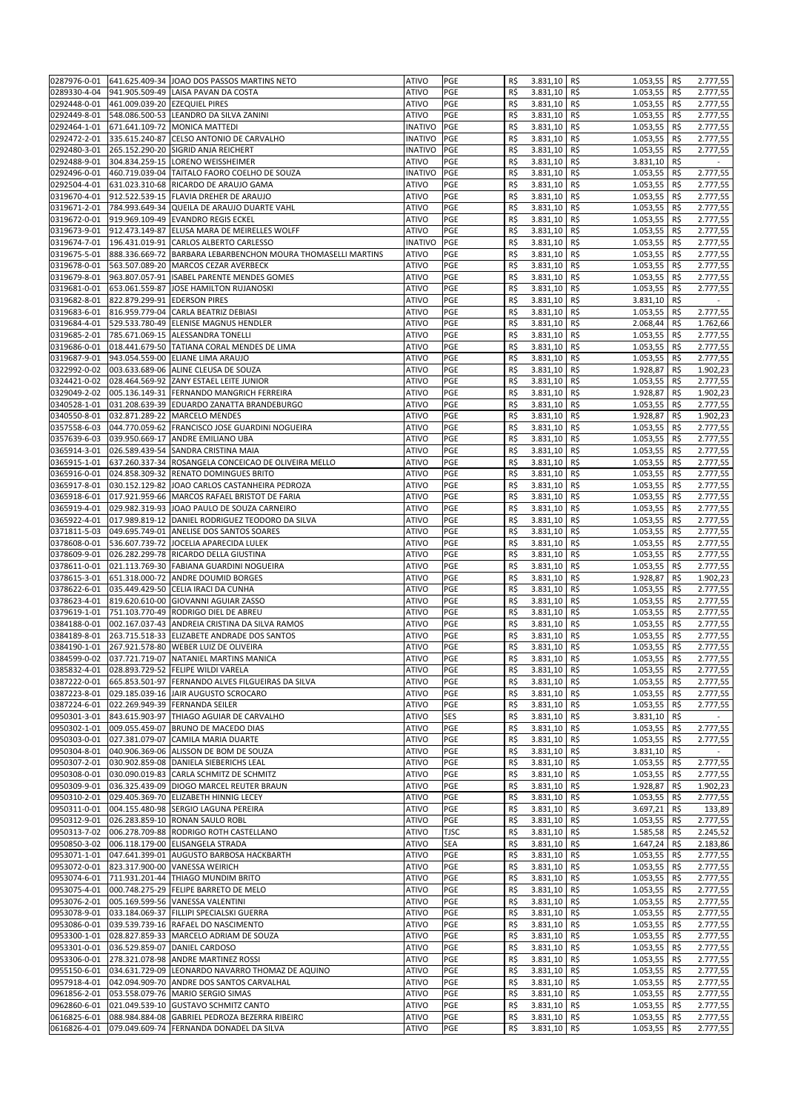| 0287976-0-01 |                               | 641.625.409-34 JOAO DOS PASSOS MARTINS NETO                  | <b>ATIVO</b>   | PGE         | R\$ | 3.831,10 R\$   | 1.053,55        | R\$ | 2.777,55                 |
|--------------|-------------------------------|--------------------------------------------------------------|----------------|-------------|-----|----------------|-----------------|-----|--------------------------|
| 0289330-4-04 |                               | 941.905.509-49 LAISA PAVAN DA COSTA                          | <b>ATIVO</b>   | PGE         | R\$ | 3.831,10       | R\$<br>1.053,55 | R\$ | 2.777,55                 |
|              |                               |                                                              |                |             |     |                |                 |     |                          |
| 0292448-0-01 | 461.009.039-20 EZEQUIEL PIRES |                                                              | <b>ATIVO</b>   | PGE         | R\$ | 3.831,10       | R\$<br>1.053,55 | R\$ | 2.777,55                 |
| 0292449-8-01 |                               | 548.086.500-53 LEANDRO DA SILVA ZANINI                       | <b>ATIVO</b>   | PGE         | R\$ | 3.831,10       | R\$<br>1.053,55 | R\$ | 2.777,55                 |
| 0292464-1-01 |                               | 671.641.109-72 MONICA MATTEDI                                | <b>INATIVO</b> | PGE         | R\$ | 3.831,10       | R\$<br>1.053,55 | R\$ | 2.777,55                 |
| 0292472-2-01 |                               | 335.615.240-87 CELSO ANTONIO DE CARVALHO                     | <b>INATIVO</b> | PGE         | R\$ | 3.831,10       | R\$<br>1.053,55 | R\$ | 2.777,55                 |
| 0292480-3-01 |                               | 265.152.290-20 SIGRID ANJA REICHERT                          | <b>INATIVO</b> | PGE         | R\$ | 3.831,10       | R\$<br>1.053,55 | R\$ | 2.777,55                 |
| 0292488-9-01 |                               | 304.834.259-15 LORENO WEISSHEIMER                            | ATIVO          | PGE         | R\$ | 3.831,10       | R\$<br>3.831,10 | R\$ | $\overline{\phantom{a}}$ |
|              |                               |                                                              |                |             |     |                |                 |     |                          |
| 0292496-0-01 |                               | 460.719.039-04 TAITALO FAORO COELHO DE SOUZA                 | <b>INATIVO</b> | PGE         | R\$ | 3.831,10       | 1.053,55<br>R\$ | R\$ | 2.777,55                 |
| 0292504-4-01 |                               | 631.023.310-68 RICARDO DE ARAUJO GAMA                        | <b>ATIVO</b>   | PGE         | R\$ | 3.831,10       | R\$<br>1.053,55 | R\$ | 2.777,55                 |
| 0319670-4-01 |                               | 912.522.539-15 FLAVIA DREHER DE ARAUJO                       | <b>ATIVO</b>   | PGE         | R\$ | 3.831,10       | R\$<br>1.053,55 | R\$ | 2.777,55                 |
| 0319671-2-01 |                               | 784.993.649-34 QUEILA DE ARAUJO DUARTE VAHL                  | <b>ATIVO</b>   | PGE         | R\$ | 3.831,10       | 1.053,55<br>R\$ | R\$ | 2.777,55                 |
| 0319672-0-01 |                               | 919.969.109-49 EVANDRO REGIS ECKEL                           | <b>ATIVO</b>   | PGE         | R\$ | 3.831,10       | R\$<br>1.053,55 | R\$ | 2.777,55                 |
|              |                               |                                                              |                |             |     |                |                 |     |                          |
| 0319673-9-01 |                               | 912.473.149-87 ELUSA MARA DE MEIRELLES WOLFF                 | <b>ATIVO</b>   | PGE         | R\$ | 3.831,10       | R\$<br>1.053,55 | R\$ | 2.777,55                 |
| 0319674-7-01 |                               | 196.431.019-91 CARLOS ALBERTO CARLESSO                       | <b>INATIVO</b> | PGE         | R\$ | 3.831,10       | R\$<br>1.053,55 | R\$ | 2.777,55                 |
| 0319675-5-01 |                               | 888.336.669-72 BARBARA LEBARBENCHON MOURA THOMASELLI MARTINS | <b>ATIVO</b>   | PGE         | R\$ | 3.831,10       | R\$<br>1.053,55 | R\$ | 2.777,55                 |
| 0319678-0-01 |                               | 563.507.089-20 MARCOS CEZAR AVERBECK                         | <b>ATIVO</b>   | PGE         | R\$ | 3.831,10       | R\$<br>1.053,55 | R\$ | 2.777,55                 |
| 0319679-8-01 |                               | 963.807.057-91 ISABEL PARENTE MENDES GOMES                   | <b>ATIVO</b>   | PGE         | R\$ | 3.831,10       | R\$<br>1.053,55 | R\$ | 2.777,55                 |
| 0319681-0-01 |                               | 653.061.559-87 JOSE HAMILTON RUJANOSKI                       | <b>ATIVO</b>   | PGE         | R\$ | 3.831,10       | R\$<br>1.053,55 | R\$ | 2.777,55                 |
|              |                               |                                                              |                |             |     |                |                 |     |                          |
| 0319682-8-01 | 822.879.299-91                | <b>EDERSON PIRES</b>                                         | <b>ATIVO</b>   | PGE         | R\$ | 3.831,10       | R\$<br>3.831,10 | R\$ | $\sim$                   |
| 0319683-6-01 |                               | 816.959.779-04 CARLA BEATRIZ DEBIASI                         | <b>ATIVO</b>   | PGE         | R\$ | 3.831,10       | R\$<br>1.053,55 | R\$ | 2.777,55                 |
| 0319684-4-01 |                               | 529.533.780-49 ELENISE MAGNUS HENDLER                        | <b>ATIVO</b>   | PGE         | R\$ | 3.831,10       | 2.068,44<br>R\$ | R\$ | 1.762,66                 |
| 0319685-2-01 |                               | 785.671.069-15 ALESSANDRA TONELLI                            | <b>ATIVO</b>   | PGE         | R\$ | 3.831,10       | R\$<br>1.053,55 | R\$ | 2.777,55                 |
| 0319686-0-01 |                               | 018.441.679-50 TATIANA CORAL MENDES DE LIMA                  | <b>ATIVO</b>   | PGE         | R\$ | 3.831,10       | 1.053,55<br>R\$ | R\$ | 2.777,55                 |
| 0319687-9-01 |                               | 943.054.559-00 ELIANE LIMA ARAUJO                            | <b>ATIVO</b>   | PGE         | R\$ | 3.831,10       | 1.053,55<br>R\$ | R\$ | 2.777,55                 |
|              |                               |                                                              |                |             |     |                |                 |     |                          |
| 0322992-0-02 |                               | 003.633.689-06 ALINE CLEUSA DE SOUZA                         | <b>ATIVO</b>   | PGE         | R\$ | 3.831,10       | R\$<br>1.928,87 | R\$ | 1.902,23                 |
| 0324421-0-02 |                               | 028.464.569-92 ZANY ESTAEL LEITE JUNIOR                      | <b>ATIVO</b>   | PGE         | R\$ | 3.831,10       | R\$<br>1.053,55 | R\$ | 2.777,55                 |
| 0329049-2-02 |                               | 005.136.149-31 FERNANDO MANGRICH FERREIRA                    | <b>ATIVO</b>   | PGE         | R\$ | 3.831,10       | R\$<br>1.928,87 | R\$ | 1.902,23                 |
| 0340528-1-01 |                               | 031.208.639-39 EDUARDO ZANATTA BRANDEBURGO                   | <b>ATIVO</b>   | PGE         | R\$ | 3.831,10       | R\$<br>1.053,55 | R\$ | 2.777,55                 |
| 0340550-8-01 |                               | 032.871.289-22 MARCELO MENDES                                | <b>ATIVO</b>   | PGE         | R\$ | 3.831,10       | R\$<br>1.928,87 | R\$ | 1.902,23                 |
|              |                               |                                                              |                | PGE         | R\$ | 3.831,10       | 1.053,55        |     |                          |
| 0357558-6-03 |                               | 044.770.059-62 FRANCISCO JOSE GUARDINI NOGUEIRA              | <b>ATIVO</b>   |             |     |                | R\$             | R\$ | 2.777,55                 |
| 0357639-6-03 |                               | 039.950.669-17 ANDRE EMILIANO UBA                            | <b>ATIVO</b>   | PGE         | R\$ | 3.831,10       | R\$<br>1.053,55 | R\$ | 2.777,55                 |
| 0365914-3-01 |                               | 026.589.439-54 SANDRA CRISTINA MAIA                          | <b>ATIVO</b>   | PGE         | R\$ | 3.831,10       | R\$<br>1.053,55 | R\$ | 2.777,55                 |
| 0365915-1-01 |                               | 637.260.337-34 ROSANGELA CONCEICAO DE OLIVEIRA MELLO         | <b>ATIVO</b>   | PGE         | R\$ | 3.831,10       | R\$<br>1.053,55 | R\$ | 2.777,55                 |
| 0365916-0-01 |                               | 024.858.309-32 RENATO DOMINGUES BRITO                        | <b>ATIVO</b>   | PGE         | R\$ | 3.831,10       | R\$<br>1.053,55 | R\$ | 2.777,55                 |
| 0365917-8-01 |                               | 030.152.129-82 JOAO CARLOS CASTANHEIRA PEDROZA               | <b>ATIVO</b>   | PGE         |     | 3.831,10       | R\$<br>1.053,55 | R\$ |                          |
|              |                               |                                                              |                |             | R\$ |                |                 |     | 2.777,55                 |
| 0365918-6-01 |                               | 017.921.959-66 MARCOS RAFAEL BRISTOT DE FARIA                | <b>ATIVO</b>   | PGE         | R\$ | 3.831,10       | R\$<br>1.053,55 | R\$ | 2.777,55                 |
| 0365919-4-01 |                               | 029.982.319-93 JOAO PAULO DE SOUZA CARNEIRO                  | <b>ATIVO</b>   | PGE         | R\$ | 3.831,10       | R\$<br>1.053,55 | R\$ | 2.777,55                 |
| 0365922-4-01 |                               | 017.989.819-12 DANIEL RODRIGUEZ TEODORO DA SILVA             | <b>ATIVO</b>   | PGE         | R\$ | 3.831,10       | R\$<br>1.053,55 | R\$ | 2.777,55                 |
| 0371811-5-03 |                               | 049.695.749-01 ANELISE DOS SANTOS SOARES                     | <b>ATIVO</b>   | PGE         | R\$ | 3.831,10       | R\$<br>1.053,55 | R\$ | 2.777,55                 |
| 0378608-0-01 |                               | 536.607.739-72 JOCELIA APARECIDA LULEK                       | <b>ATIVO</b>   | PGE         | R\$ | 3.831,10       | R\$<br>1.053,55 | R\$ | 2.777,55                 |
|              |                               |                                                              |                |             |     |                |                 |     |                          |
| 0378609-9-01 |                               | 026.282.299-78 RICARDO DELLA GIUSTINA                        | <b>ATIVO</b>   | PGE         | R\$ | 3.831,10       | R\$<br>1.053,55 | R\$ | 2.777,55                 |
| 0378611-0-01 |                               | 021.113.769-30 FABIANA GUARDINI NOGUEIRA                     | <b>ATIVO</b>   | PGE         | R\$ | 3.831,10       | R\$<br>1.053,55 | R\$ | 2.777,55                 |
| 0378615-3-01 |                               | 651.318.000-72 ANDRE DOUMID BORGES                           | <b>ATIVO</b>   | PGE         | R\$ | 3.831,10       | R\$<br>1.928,87 | R\$ | 1.902,23                 |
| 0378622-6-01 |                               | 035.449.429-50 CELIA IRACI DA CUNHA                          | <b>ATIVO</b>   | PGE         | R\$ | 3.831,10       | R\$<br>1.053,55 | R\$ | 2.777,55                 |
| 0378623-4-01 |                               | 819.620.610-00 GIOVANNI AGUIAR ZASSO                         | <b>ATIVO</b>   | PGE         | R\$ | 3.831,10       | R\$<br>1.053,55 | R\$ | 2.777,55                 |
| 0379619-1-01 |                               | 751.103.770-49 RODRIGO DIEL DE ABREU                         | <b>ATIVO</b>   | PGE         | R\$ | 3.831,10       | 1.053,55<br>R\$ | R\$ | 2.777,55                 |
|              |                               |                                                              |                |             |     |                |                 |     |                          |
| 0384188-0-01 |                               | 002.167.037-43 ANDREIA CRISTINA DA SILVA RAMOS               | <b>ATIVO</b>   | PGE         | R\$ | 3.831,10       | R\$<br>1.053,55 | R\$ | 2.777,55                 |
| 0384189-8-01 |                               | 263.715.518-33 ELIZABETE ANDRADE DOS SANTOS                  | <b>ATIVO</b>   | PGE         | R\$ | 3.831,10       | R\$<br>1.053,55 | R\$ | 2.777,55                 |
| 0384190-1-01 |                               | 267.921.578-80 WEBER LUIZ DE OLIVEIRA                        | <b>ATIVO</b>   | PGE         | R\$ | 3.831,10       | R\$<br>1.053,55 | R\$ | 2.777,55                 |
| 0384599-0-02 |                               | 037.721.719-07 NATANIEL MARTINS MANICA                       | <b>ATIVO</b>   | PGE         | R\$ | 3.831,10       | R\$<br>1.053,55 | R\$ | 2.777,55                 |
|              |                               | 0385832-4-01 028.893.729-52 FELIPE WILDI VARELA              | <b>ATIVO</b>   | PGE         | R\$ | 3.831,10 R\$   | $1.053,55$ R\$  |     | 2.777,55                 |
|              |                               |                                                              | <b>ATIVO</b>   | PGE         | R\$ | 3.831,10 R\$   | 1.053,55        |     |                          |
| 0387222-0-01 |                               | 665.853.501-97 FERNANDO ALVES FILGUEIRAS DA SILVA            |                |             |     |                |                 | R\$ | 2.777,55                 |
| 0387223-8-01 |                               | 029.185.039-16 JAIR AUGUSTO SCROCARO                         | <b>ATIVO</b>   | PGE         | R\$ | 3.831,10 R\$   | 1.053,55        | R\$ | 2.777,55                 |
| 0387224-6-01 |                               | 022.269.949-39 FERNANDA SEILER                               | <b>ATIVO</b>   | PGE         | R\$ | 3.831,10 R\$   | 1.053,55        | R\$ | 2.777,55                 |
| 0950301-3-01 |                               | 843.615.903-97 THIAGO AGUIAR DE CARVALHO                     | <b>ATIVO</b>   | SES         | R\$ | 3.831,10       | R\$<br>3.831,10 | R\$ |                          |
| 0950302-1-01 |                               | 009.055.459-07 BRUNO DE MACEDO DIAS                          | <b>ATIVO</b>   | PGE         | R\$ | 3.831,10 R\$   | 1.053,55        | R\$ | 2.777,55                 |
| 0950303-0-01 |                               | 027.381.079-07 CAMILA MARIA DUARTE                           | ATIVO          | PGE         | R\$ | 3.831,10       | R\$<br>1.053,55 | R\$ | 2.777,55                 |
| 0950304-8-01 |                               | 040.906.369-06 ALISSON DE BOM DE SOUZA                       | <b>ATIVO</b>   | PGE         | R\$ | 3.831,10       | R\$<br>3.831,10 | R\$ | $\sim$                   |
|              |                               |                                                              |                |             |     |                |                 |     |                          |
| 0950307-2-01 |                               | 030.902.859-08 DANIELA SIEBERICHS LEAL                       | <b>ATIVO</b>   | PGE         | R\$ | 3.831,10 R\$   | 1.053,55        | R\$ | 2.777,55                 |
| 0950308-0-01 |                               | 030.090.019-83 CARLA SCHMITZ DE SCHMITZ                      | <b>ATIVO</b>   | PGE         | R\$ | 3.831,10 R\$   | 1.053,55        | R\$ | 2.777,55                 |
| 0950309-9-01 |                               | 036.325.439-09 DIOGO MARCEL REUTER BRAUN                     | <b>ATIVO</b>   | PGE         | R\$ | 3.831,10       | R\$<br>1.928,87 | R\$ | 1.902,23                 |
| 0950310-2-01 |                               | 029.405.369-70 ELIZABETH HINNIG LECEY                        | <b>ATIVO</b>   | PGE         | R\$ | 3.831,10       | 1.053,55<br>R\$ | R\$ | 2.777,55                 |
| 0950311-0-01 |                               | 004.155.480-98 SERGIO LAGUNA PEREIRA                         | <b>ATIVO</b>   | PGE         | R\$ | 3.831,10       | R\$<br>3.697,21 | R\$ | 133,89                   |
| 0950312-9-01 |                               |                                                              | <b>ATIVO</b>   | PGE         | R\$ | 3.831.10       |                 |     | 2.777,55                 |
|              |                               | 026.283.859-10 RONAN SAULO ROBL                              |                |             |     |                | R\$<br>1.053,55 | R\$ |                          |
| 0950313-7-02 |                               | 006.278.709-88 RODRIGO ROTH CASTELLANO                       | <b>ATIVO</b>   | <b>TJSC</b> | R\$ | 3.831,10       | R\$<br>1.585,58 | R\$ | 2.245,52                 |
| 0950850-3-02 |                               | 006.118.179-00 ELISANGELA STRADA                             | <b>ATIVO</b>   | <b>SEA</b>  | R\$ | 3.831,10       | R\$<br>1.647,24 | R\$ | 2.183,86                 |
| 0953071-1-01 |                               | 047.641.399-01 AUGUSTO BARBOSA HACKBARTH                     | <b>ATIVO</b>   | PGE         | R\$ | 3.831,10       | R\$<br>1.053,55 | R\$ | 2.777,55                 |
| 0953072-0-01 |                               | 823.317.900-00 VANESSA WEIRICH                               | <b>ATIVO</b>   | PGE         | R\$ | 3.831,10       | R\$<br>1.053,55 | R\$ | 2.777,55                 |
| 0953074-6-01 |                               | 711.931.201-44 THIAGO MUNDIM BRITO                           | <b>ATIVO</b>   | PGE         | R\$ | 3.831,10       | R\$<br>1.053,55 | R\$ | 2.777,55                 |
|              |                               |                                                              |                |             |     |                |                 |     |                          |
| 0953075-4-01 |                               | 000.748.275-29 FELIPE BARRETO DE MELO                        | <b>ATIVO</b>   | PGE         | R\$ | 3.831,10       | R\$<br>1.053,55 | R\$ | 2.777,55                 |
| 0953076-2-01 |                               | 005.169.599-56 VANESSA VALENTINI                             | <b>ATIVO</b>   | PGE         | R\$ | 3.831,10 R\$   | 1.053,55        | R\$ | 2.777,55                 |
| 0953078-9-01 |                               | 033.184.069-37 FILLIPI SPECIALSKI GUERRA                     | <b>ATIVO</b>   | PGE         | R\$ | 3.831,10 R\$   | 1.053,55        | R\$ | 2.777,55                 |
| 0953086-0-01 |                               | 039.539.739-16 RAFAEL DO NASCIMENTO                          | <b>ATIVO</b>   | PGE         | R\$ | 3.831,10       | R\$<br>1.053,55 | R\$ | 2.777,55                 |
| 0953300-1-01 |                               | 028.827.859-33 MARCELO ADRIAM DE SOUZA                       | <b>ATIVO</b>   | PGE         | R\$ | 3.831,10       | R\$<br>1.053,55 | R\$ | 2.777,55                 |
| 0953301-0-01 |                               | 036.529.859-07 DANIEL CARDOSO                                | <b>ATIVO</b>   | PGE         | R\$ | 3.831,10       | R\$<br>1.053,55 | R\$ | 2.777,55                 |
|              |                               |                                                              | <b>ATIVO</b>   | PGE         |     |                |                 |     |                          |
| 0953306-0-01 |                               | 278.321.078-98 ANDRE MARTINEZ ROSSI                          |                |             | R\$ | 3.831,10       | R\$<br>1.053,55 | R\$ | 2.777,55                 |
| 0955150-6-01 |                               | 034.631.729-09 LEONARDO NAVARRO THOMAZ DE AQUINO             | <b>ATIVO</b>   | PGE         | R\$ | 3.831,10       | R\$<br>1.053,55 | R\$ | 2.777,55                 |
| 0957918-4-01 |                               | 042.094.909-70 ANDRE DOS SANTOS CARVALHAL                    | <b>ATIVO</b>   | PGE         | R\$ | 3.831,10       | R\$<br>1.053,55 | R\$ | 2.777,55                 |
| 0961856-2-01 |                               | 053.558.079-76 MARIO SERGIO SIMAS                            | <b>ATIVO</b>   | PGE         | R\$ | 3.831,10       | R\$<br>1.053,55 | R\$ | 2.777,55                 |
| 0962860-6-01 |                               | 021.049.539-10 GUSTAVO SCHMITZ CANTO                         | <b>ATIVO</b>   | PGE         | R\$ | 3.831,10       | R\$<br>1.053,55 | R\$ | 2.777,55                 |
| 0616825-6-01 |                               | 088.984.884-08 GABRIEL PEDROZA BEZERRA RIBEIRO               | <b>ATIVO</b>   | PGE         | R\$ | $3.831,10$ R\$ | 1.053,55        | R\$ | 2.777,55                 |
|              |                               | 079.049.609-74 FERNANDA DONADEL DA SILVA                     | <b>ATIVO</b>   | PGE         | R\$ | 3.831,10       | R\$<br>1.053,55 | R\$ | 2.777,55                 |
| 0616826-4-01 |                               |                                                              |                |             |     |                |                 |     |                          |